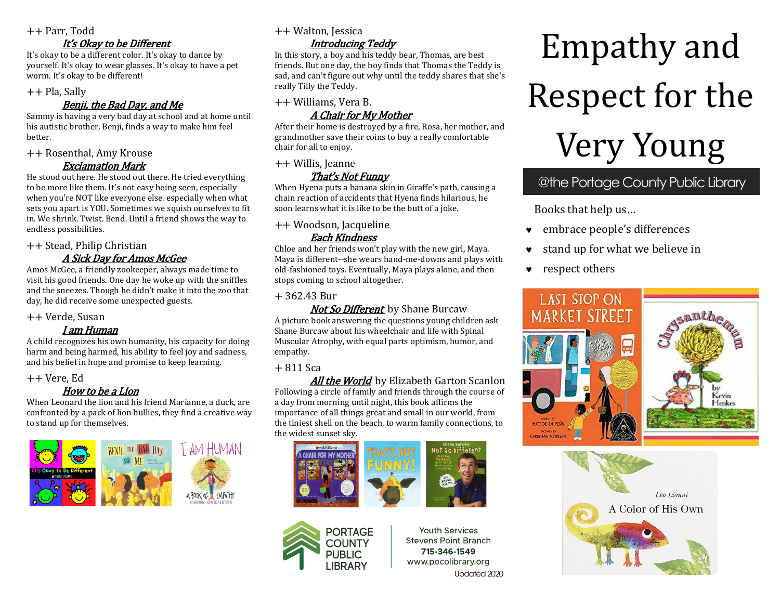#### ++ Parr, Todd

## It's Okay to be Different

It's okay to be a different color. It's okay to dance by yourself. It's okay to wear glasses. It's okay to have a pet worm. It's okay to be different!

#### ++ Pla, Sally

## Benji, the Bad Day, and Me

Sammy is having a very bad day at school and at home until his autistic brother, Benji, finds a way to make him feel better.

#### ++ Rosenthal, Amy Krouse

Exclamation Mark

He stood out here. He stood out there. He tried everything to be more like them. It's not easy being seen, especially when you're NOT like everyone else. especially when what sets you apart is YOU. Sometimes we squish ourselves to fit in. We shrink. Twist. Bend. Until a friend shows the way to endless possibilities.

++ Stead, Philip Christian

## A Sick Day for Amos McGee

Amos McGee, a friendly zookeeper, always made time to visit his good friends. One day he woke up with the sniffles and the sneezes. Though he didn't make it into the zoo that day, he did receive some unexpected guests.

#### ++ Verde, Susan

#### I am Human

A child recognizes his own humanity, his capacity for doing harm and being harmed, his ability to feel joy and sadness, and his belief in hope and promise to keep learning.

++ Vere, Ed

## How to be a Lion

When Leonard the lion and his friend Marianne, a duck, are confronted by a pack of lion bullies, they find a creative way to stand up for themselves.



++ Walton, Jessica

## Introducing Teddy

In this story, a boy and his teddy bear, Thomas, are best friends. But one day, the boy finds that Thomas the Teddy is sad, and can't figure out why until the teddy shares that she's really Tilly the Teddy.

#### ++ Williams, Vera B. A Chair for My Mother

After their home is destroyed by a fire, Rosa, her mother, and grandmother save their coins to buy a really comfortable chair for all to enjoy.

++ Willis, Jeanne

## That's Not Funny

When Hyena puts a banana skin in Giraffe's path, causing a chain reaction of accidents that Hyena finds hilarious, he soon learns what it is like to be the butt of a joke.

++ Woodson, Jacqueline

## Each Kindness

Chloe and her friends won't play with the new girl, Maya. Maya is different--she wears hand-me-downs and plays with old-fashioned toys. Eventually, Maya plays alone, and then stops coming to school altogether.

## + 362.43 Bur

**Not So Different** by Shane Burcaw A picture book answering the questions young children ask Shane Burcaw about his wheelchair and life with Spinal Muscular Atrophy, with equal parts optimism, humor, and empathy.

## $+811$  Sca

**All the World** by Elizabeth Garton Scanlon Following a circle of family and friends through the course of a day from morning until night, this book affirms the importance of all things great and small in our world, from the tiniest shell on the beach, to warm family connections, to the widest sunset sky.





**Youth Services Stevens Point Branch** 715-346-1549 www.pocolibrary.org Updated 2020

# Empathy and Respect for the Very Young

## @the Portage County Public Library

Books that help us…

- embrace people's differences
- stand up for what we believe in
- **v** respect others